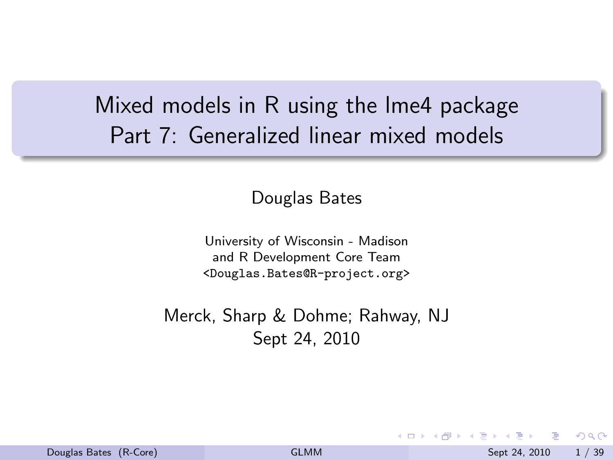# Mixed models in R using the lme4 package Part 7: Generalized linear mixed models

Douglas Bates

University of Wisconsin - Madison and R Development Core Team <Douglas.Bates@R-project.org>

Merck, Sharp & Dohme; Rahway, NJ Sept 24, 2010

<span id="page-0-0"></span> $QQ$ 

- ④ ラ ス ヨ メ ス ヨ メ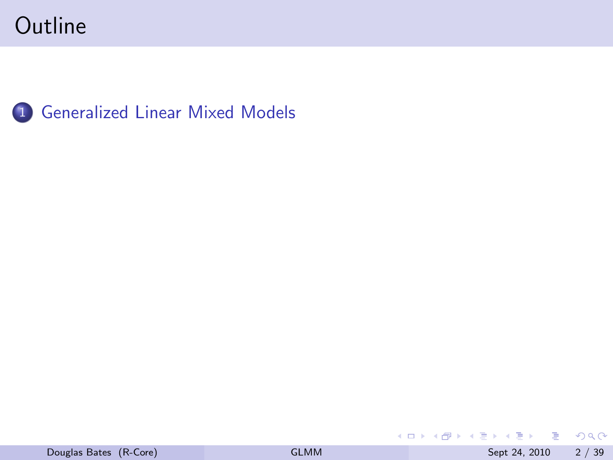

 $ORO$ 

イロト イ部 トイヨ トイヨト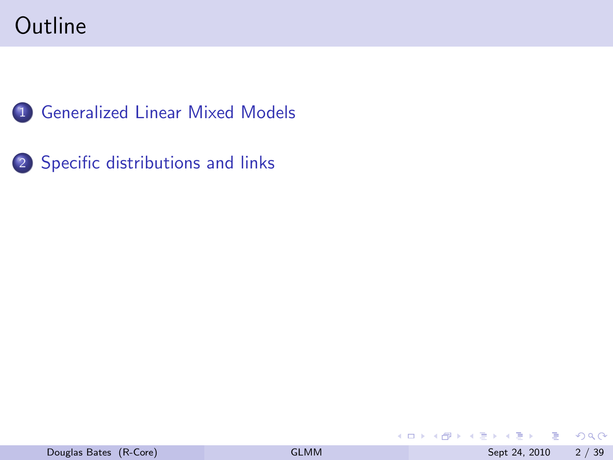

2 [Specific distributions and links](#page-10-0)

画  $OQ$ 

イロト イ部 トイモ トイモト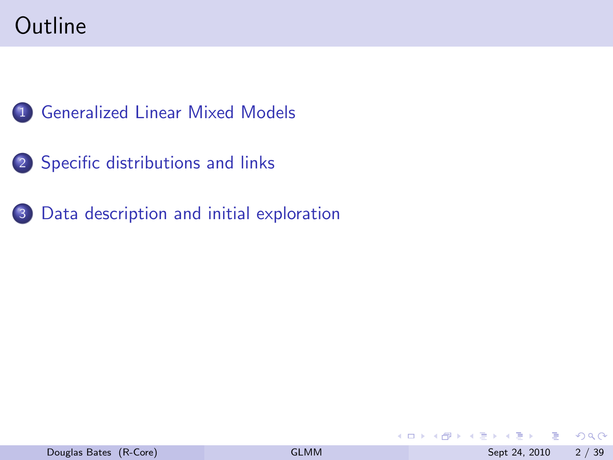

- 2 [Specific distributions and links](#page-10-0)
- 3 [Data description and initial exploration](#page-23-0)

G.

 $2980$ 

 $A \Box B$   $A \Box B$   $A \Box B$   $A \Box B$   $A \Box B$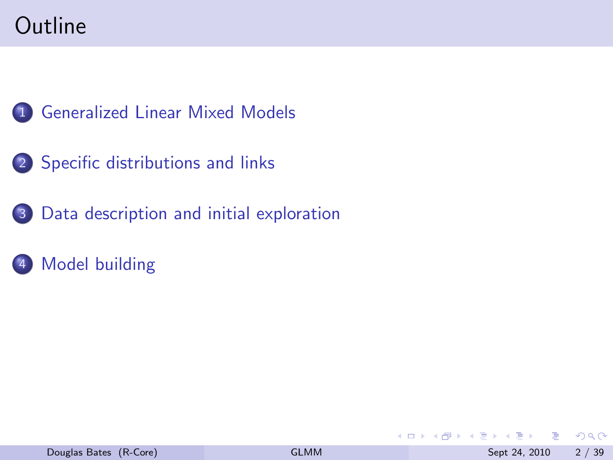

- 2 [Specific distributions and links](#page-10-0)
- 3 [Data description and initial exploration](#page-23-0)
- [Model building](#page-28-0)

目

 $QQ$ 

イロト イ押ト イヨト イヨ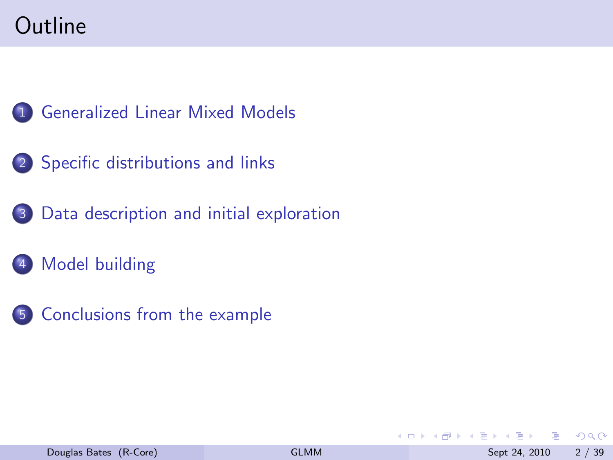

- 2 [Specific distributions and links](#page-10-0)
- 3 [Data description and initial exploration](#page-23-0)
- 4 [Model building](#page-28-0)
- 5 [Conclusions from the example](#page-41-0)

4 0 8

э

 $QQ$ 

 $\mathbf{A} = \mathbf{A}$ 

14 B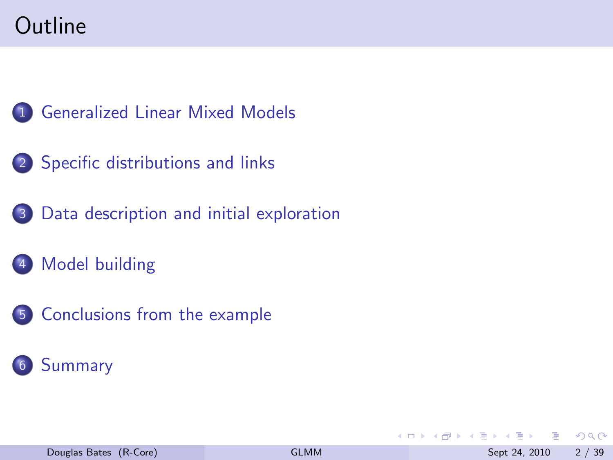

- 2 [Specific distributions and links](#page-10-0)
- 3 [Data description and initial exploration](#page-23-0)
- 4 [Model building](#page-28-0)
- 5 [Conclusions from the example](#page-41-0)



4 0 8

э

 $QQ$ 

化重新润滑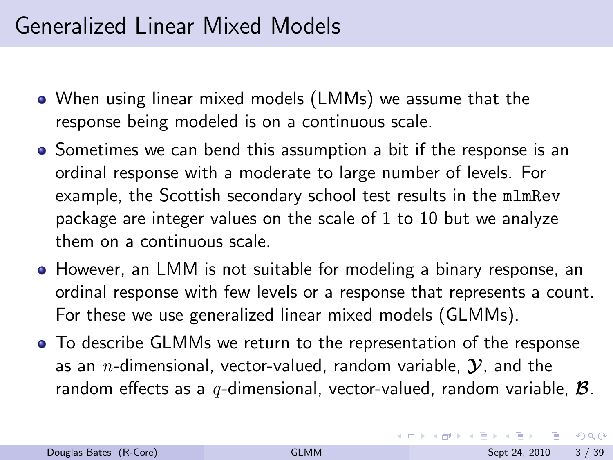# Generalized Linear Mixed Models

- When using linear mixed models (LMMs) we assume that the response being modeled is on a continuous scale.
- Sometimes we can bend this assumption a bit if the response is an ordinal response with a moderate to large number of levels. For example, the Scottish secondary school test results in the mlmRev package are integer values on the scale of 1 to 10 but we analyze them on a continuous scale.
- However, an LMM is not suitable for modeling a binary response, an ordinal response with few levels or a response that represents a count. For these we use generalized linear mixed models (GLMMs).
- To describe GLMMs we return to the representation of the response as an *n*-dimensional, vector-valued, random variable,  $\mathcal{Y}$ , and the random effects as a q-dimensional, vector-valued, random variable,  $\mathcal{B}$ .

<span id="page-7-0"></span> $QQ$ 

イロト イ押 トイヨ トイヨト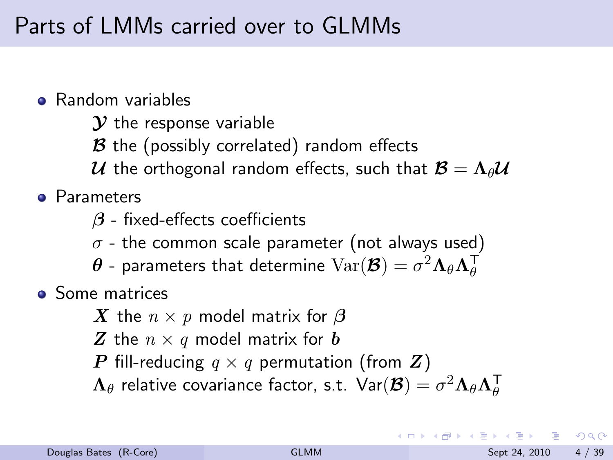# Parts of LMMs carried over to GLMMs

- **e** Random variables
	- $\mathcal Y$  the response variable
	- $\mathcal B$  the (possibly correlated) random effects
	- $\cal U$  the orthogonal random effects, such that  ${\cal B} = \Lambda_{\theta} {\cal U}$
- **e** Parameters
	- $\beta$  fixed-effects coefficients
	- $\sigma$  the common scale parameter (not always used)
	- $\boldsymbol{\theta}$  parameters that determine  $\text{Var}(\boldsymbol{\mathcal{B}}) = \sigma^2\boldsymbol{\Lambda}_\theta \boldsymbol{\Lambda}_\theta^\mathsf{T}$
- **•** Some matrices
	- X the  $n \times p$  model matrix for  $\beta$
	- Z the  $n \times q$  model matrix for b
	- P fill-reducing  $q \times q$  permutation (from Z)
	- ${\bf \Lambda}_\theta$  relative covariance factor, s.t.  ${\sf Var}({\bf \cal B})=\sigma^2{\bf \Lambda}_\theta{\bf \Lambda}_\theta^\textsf{T}$

<span id="page-8-0"></span> $QQQ$ 

イロト イ押ト イヨト イヨト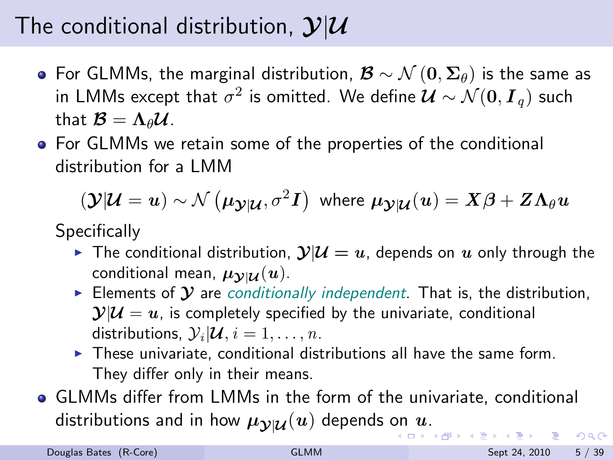# The conditional distribution,  $\mathcal{Y}|\mathcal{U}$

- For GLMMs, the marginal distribution,  $\mathcal{B} \sim \mathcal{N}(0, \Sigma_{\theta})$  is the same as in LMMs except that  $\sigma^2$  is omitted. We define  $\bm{\mathcal{U}} \sim \mathcal{N}(\bm{0}, \bm{I}_q)$  such that  $\mathcal{B} = \Lambda_{\theta} \mathcal{U}$ .
- For GLMMs we retain some of the properties of the conditional distribution for a LMM

 $p({\bf y}|{\bf U}={\bf u})\sim \mathcal{N}\left(\mu_{{\bf \cal Y}|{\bf U}},\sigma^2{\bf I}\right) \,\,\hbox{where} \,\, \mu_{{\bf \cal Y}|{\bf U}}({\bf u})=X\beta+Z\Lambda_\theta{\bf u}$ 

**Specifically** 

- In The conditional distribution,  $\mathcal{Y}|\mathcal{U} = u$ , depends on u only through the conditional mean,  $\mu_{\mathcal{V}|\mathcal{U}}(u)$ .
- Elements of  $\mathcal Y$  are conditionally independent. That is, the distribution,  $\mathcal{Y}|\mathcal{U} = u$ , is completely specified by the univariate, conditional distributions,  $\mathcal{Y}_i | \mathcal{U}, i = 1, \ldots, n$ .
- <span id="page-9-0"></span> $\blacktriangleright$  These univariate, conditional distributions all have the same form. They differ only in their means.
- GLMMs differ from LMMs in the form of the univariate, conditional distributi[on](#page-8-0)s and in how  $\mu_{\mathcal{Y}|\mathcal{U}}(u)$  $\mu_{\mathcal{Y}|\mathcal{U}}(u)$  $\mu_{\mathcal{Y}|\mathcal{U}}(u)$  depends on  $u$ [.](#page-8-0)  $ORO$ - a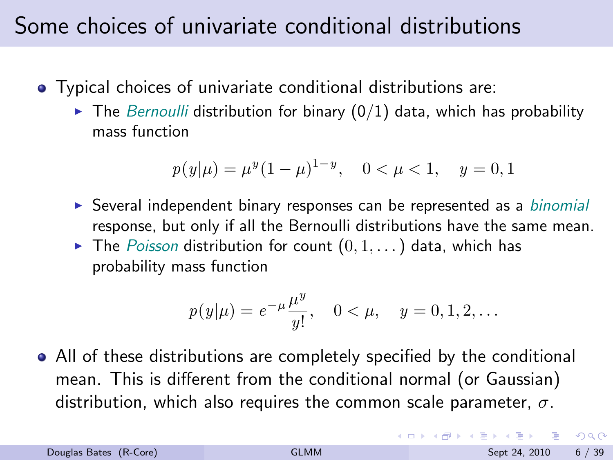# Some choices of univariate conditional distributions

- Typical choices of univariate conditional distributions are:
	- $\triangleright$  The Bernoulli distribution for binary (0/1) data, which has probability mass function

$$
p(y|\mu) = \mu^{y} (1 - \mu)^{1 - y}, \quad 0 < \mu < 1, \quad y = 0, 1
$$

- $\triangleright$  Several independent binary responses can be represented as a *binomial* response, but only if all the Bernoulli distributions have the same mean.
- $\blacktriangleright$  The Poisson distribution for count  $(0, 1, \ldots)$  data, which has probability mass function

$$
p(y|\mu) = e^{-\mu} \frac{\mu^y}{y!}, \quad 0 < \mu, \quad y = 0, 1, 2, \dots
$$

All of these distributions are completely specified by the conditional mean. This is different from the conditional normal (or Gaussian) distribution, which also requires the common scale parameter,  $\sigma$ .

<span id="page-10-0"></span> $QQQ$ 

イロメ イ押 メイヨメ イヨメーヨ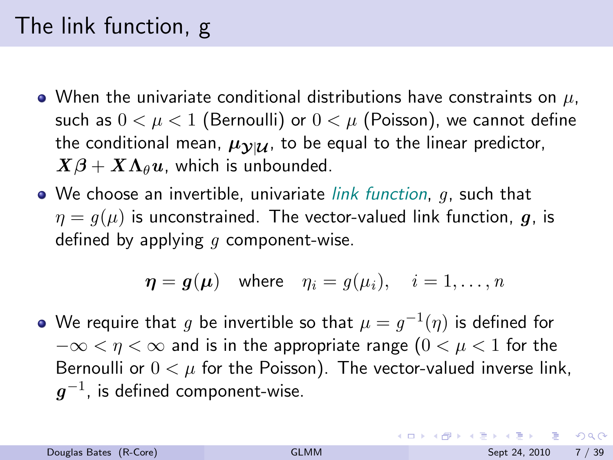# The link function, g

- When the univariate conditional distributions have constraints on  $\mu$ , such as  $0 < \mu < 1$  (Bernoulli) or  $0 < \mu$  (Poisson), we cannot define the conditional mean,  $\mu_{\mathcal{V}|\mathcal{U}}$ , to be equal to the linear predictor,  $X\beta + X\Lambda_{\theta} u$ , which is unbounded.
- $\bullet$  We choose an invertible, univariate *link function*,  $g$ , such that  $\eta = q(\mu)$  is unconstrained. The vector-valued link function, q, is defined by applying  $q$  component-wise.

$$
\eta = g(\mu)
$$
 where  $\eta_i = g(\mu_i), \quad i = 1, ..., n$ 

We require that  $g$  be invertible so that  $\mu=g^{-1}(\eta)$  is defined for  $-\infty < \eta < \infty$  and is in the appropriate range  $(0 < \mu < 1$  for the Bernoulli or  $0 < \mu$  for the Poisson). The vector-valued inverse link,  $\boldsymbol{g}^{-1}$ , is defined component-wise.

**KOD KOD KED KED E VAN**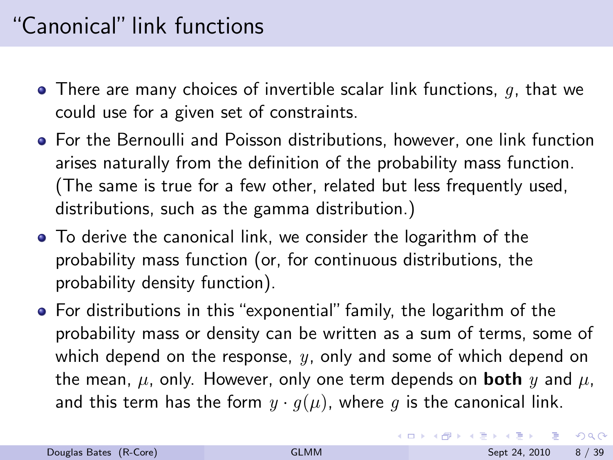# "Canonical" link functions

- $\bullet$  There are many choices of invertible scalar link functions, q, that we could use for a given set of constraints.
- For the Bernoulli and Poisson distributions, however, one link function arises naturally from the definition of the probability mass function. (The same is true for a few other, related but less frequently used, distributions, such as the gamma distribution.)
- To derive the canonical link, we consider the logarithm of the probability mass function (or, for continuous distributions, the probability density function).
- For distributions in this "exponential" family, the logarithm of the probability mass or density can be written as a sum of terms, some of which depend on the response,  $y$ , only and some of which depend on the mean,  $\mu$ , only. However, only one term depends on **both** y and  $\mu$ , and this term has the form  $y \cdot g(\mu)$ , where g is the canonical link.

 $QQ$ 

イロト イ押ト イヨト イヨト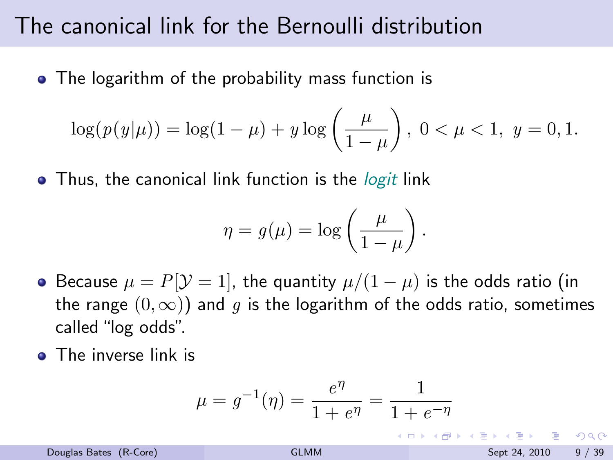### The canonical link for the Bernoulli distribution

• The logarithm of the probability mass function is

$$
\log(p(y|\mu)) = \log(1 - \mu) + y \log\left(\frac{\mu}{1 - \mu}\right), \ 0 < \mu < 1, \ y = 0, 1.
$$

• Thus, the canonical link function is the *logit* link

$$
\eta = g(\mu) = \log\left(\frac{\mu}{1-\mu}\right).
$$

- Because  $\mu = P[\mathcal{Y} = 1]$ , the quantity  $\mu/(1 \mu)$  is the odds ratio (in the range  $(0, \infty)$  and q is the logarithm of the odds ratio, sometimes called "log odds".
- The inverse link is

$$
\mu = g^{-1}(\eta) = \frac{e^{\eta}}{1 + e^{\eta}} = \frac{1}{1 + e^{-\eta}}
$$

æ. ഹാര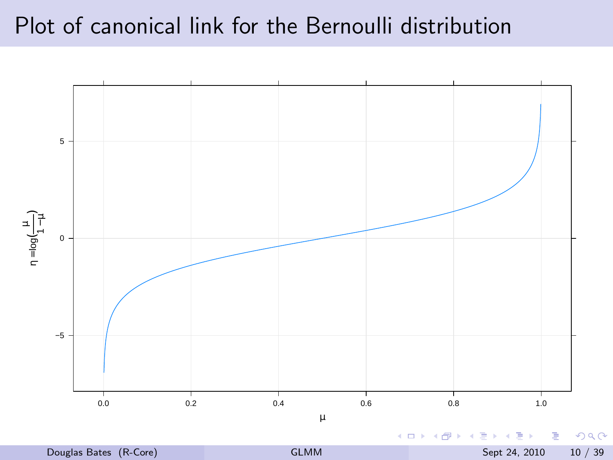# Plot of canonical link for the Bernoulli distribution

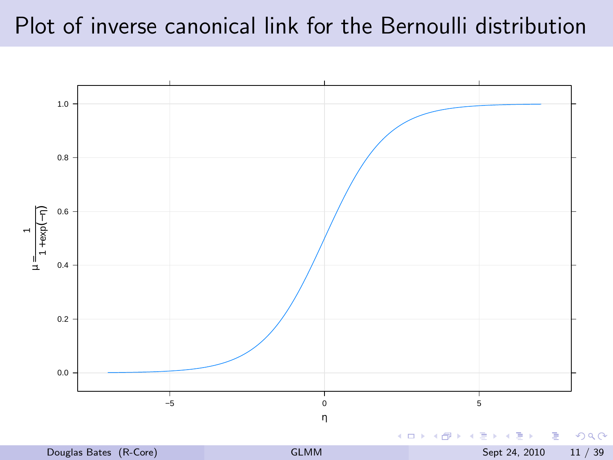# Plot of inverse canonical link for the Bernoulli distribution

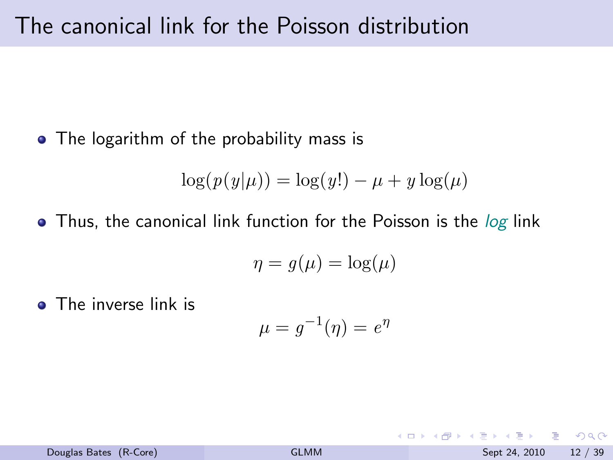• The logarithm of the probability mass is

$$
\log(p(y|\mu)) = \log(y!) - \mu + y \log(\mu)
$$

• Thus, the canonical link function for the Poisson is the *log* link

$$
\eta = g(\mu) = \log(\mu)
$$

• The inverse link is

$$
\mu = g^{-1}(\eta) = e^{\eta}
$$

 $QQQ$ 

**K ロ ト K 何 ト K ヨ ト K**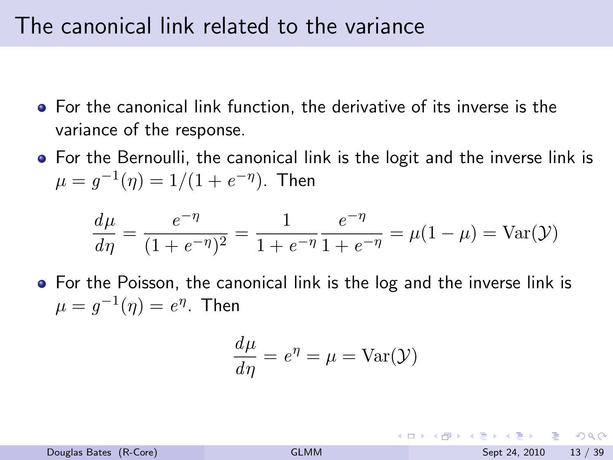#### The canonical link related to the variance

- For the canonical link function, the derivative of its inverse is the variance of the response.
- For the Bernoulli, the canonical link is the logit and the inverse link is  $\mu = g^{-1}(\eta) = 1/(1+e^{-\eta}).$  Then

$$
\frac{d\mu}{d\eta} = \frac{e^{-\eta}}{(1 + e^{-\eta})^2} = \frac{1}{1 + e^{-\eta}} \frac{e^{-\eta}}{1 + e^{-\eta}} = \mu(1 - \mu) = \text{Var}(\mathcal{Y})
$$

For the Poisson, the canonical link is the log and the inverse link is  $\mu = g^{-1}(\eta) = e^{\eta}$ . Then

$$
\frac{d\mu}{d\eta} = e^{\eta} = \mu = \text{Var}(\mathcal{Y})
$$

- 30 Douglas Bates (R-Core) [GLMM](#page-0-0) Sept 24, 2010 13 / 39

- വൈറ

イロト イ押ト イヨト イヨト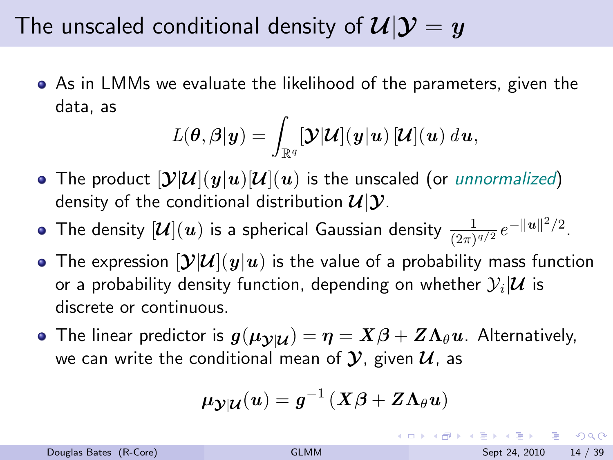# The unscaled conditional density of  $\mathcal{U}|\mathcal{Y}=y$

As in LMMs we evaluate the likelihood of the parameters, given the data, as

$$
L(\boldsymbol{\theta},\boldsymbol{\beta}|\boldsymbol{y})=\int_{\mathbb{R}^q}[\boldsymbol{\mathcal{Y}}|\boldsymbol{\mathcal{U}}](\boldsymbol{y}|\boldsymbol{u})\,[\boldsymbol{\mathcal{U}}](\boldsymbol{u})\ d\boldsymbol{u},
$$

• The product  $[\mathcal{Y}|\mathcal{U}](y|u)[\mathcal{U}](u)$  is the unscaled (or *unnormalized*) density of the conditional distribution  $\mathcal{U}|\mathcal{Y}$ .

The density  $[\boldsymbol{\mathcal{U}}](\boldsymbol{u})$  is a spherical Gaussian density  $\frac{1}{(2\pi)^{q/2}}e^{-\|\boldsymbol{u}\|^2/2}.$ 

- The expression  $[\mathcal{Y}|\mathcal{U}](y|u)$  is the value of a probability mass function or a probability density function, depending on whether  $\mathcal{Y}_i|\mathcal{\boldsymbol{U}}$  is discrete or continuous.
- The linear predictor is  $g(\mu_{\mathcal{V}|\mathcal{U}}) = \eta = X\beta + Z\Lambda_{\theta}u$ . Alternatively, we can write the conditional mean of  $\mathcal{Y}$ , given  $\mathcal{U}$ , as

$$
\boldsymbol{\mu}_{\boldsymbol{\mathcal{Y}}|\boldsymbol{\mathcal{U}}}(\boldsymbol{u}) = \boldsymbol{g}^{-1}\left(\boldsymbol{X}\boldsymbol{\beta} + \boldsymbol{Z}\boldsymbol{\Lambda}_\theta\boldsymbol{u}\right)
$$

**KOD KOD KED KED E VAN**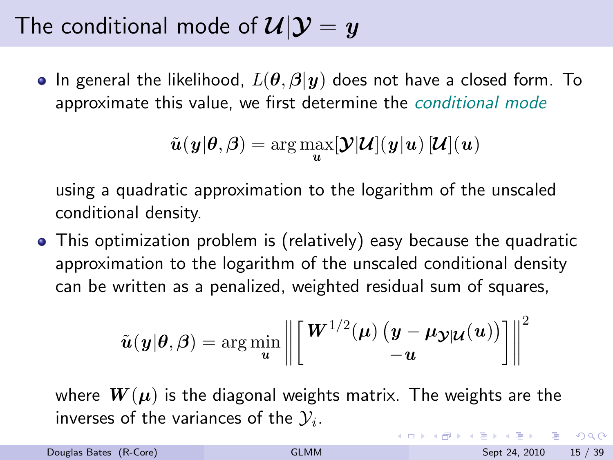# The conditional mode of  $\mathcal{U}|\mathcal{Y}=y$

• In general the likelihood,  $L(\theta, \beta | y)$  does not have a closed form. To approximate this value, we first determine the *conditional mode* 

$$
\tilde{\boldsymbol{u}}(\boldsymbol{y}|\boldsymbol{\theta},\boldsymbol{\beta})=\arg\max_{\boldsymbol{u}}[\boldsymbol{\mathcal{Y}}|\boldsymbol{\mathcal{U}}](\boldsymbol{y}|\boldsymbol{u})\,[\boldsymbol{\mathcal{U}}](\boldsymbol{u})
$$

using a quadratic approximation to the logarithm of the unscaled conditional density.

This optimization problem is (relatively) easy because the quadratic approximation to the logarithm of the unscaled conditional density can be written as a penalized, weighted residual sum of squares,

$$
\tilde{\boldsymbol{u}}(\boldsymbol{y}|\boldsymbol{\theta},\boldsymbol{\beta}) = \arg\min_{\boldsymbol{u}} \left\| \begin{bmatrix} \boldsymbol{W}^{1/2}(\boldsymbol{\mu}) \left(\boldsymbol{y} - \boldsymbol{\mu}_{\boldsymbol{\mathcal{Y}}|\boldsymbol{\mathcal{U}}}(\boldsymbol{u})\right) \\ -\boldsymbol{u} \end{bmatrix} \right\|^2
$$

where  $W(\mu)$  is the diagonal weights matrix. The weights are the inverses of the variances of the  $\mathcal{Y}_i.$ 

Douglas Bates (R-Core) and Sept 24, 2010 15 / 39

<span id="page-19-0"></span> $QQQ$ 

イロト イ部 トイヨ トイヨト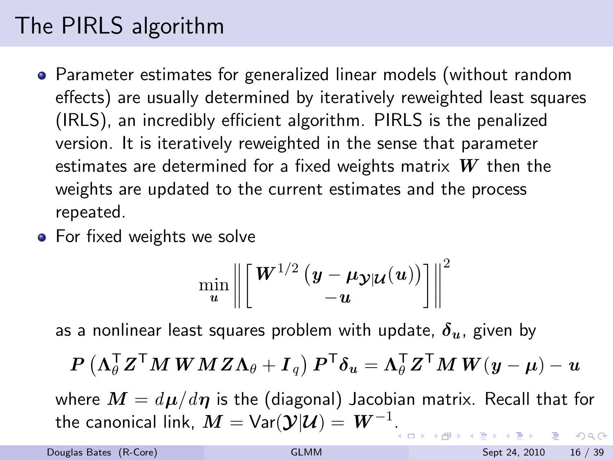# The PIRLS algorithm

- Parameter estimates for generalized linear models (without random effects) are usually determined by iteratively reweighted least squares (IRLS), an incredibly efficient algorithm. PIRLS is the penalized version. It is iteratively reweighted in the sense that parameter estimates are determined for a fixed weights matrix  $W$  then the weights are updated to the current estimates and the process repeated.
- **•** For fixed weights we solve

<span id="page-20-0"></span>
$$
\min_{\boldsymbol{u}} \left\|\left[\frac{\boldsymbol{W}^{1/2}\left(\boldsymbol{y}-\boldsymbol{\mu_{\mathcal{Y}|\mathcal{U}}}(\boldsymbol{u})\right)}{-\boldsymbol{u}}\right]\right\|^2
$$

as a nonlinear least squares problem with update,  $\delta_{u}$ , given by

$$
\boldsymbol{P}\left(\boldsymbol{\Lambda}_{\theta}^{\mathsf{T}}\boldsymbol{Z}^{\mathsf{T}}\boldsymbol{M}\boldsymbol{W}\boldsymbol{M}\boldsymbol{Z}\boldsymbol{\Lambda}_{\theta}+\boldsymbol{I}_{q}\right)\boldsymbol{P}^{\mathsf{T}}\boldsymbol{\delta}_{\boldsymbol{u}}=\boldsymbol{\Lambda}_{\theta}^{\mathsf{T}}\boldsymbol{Z}^{\mathsf{T}}\boldsymbol{M}\boldsymbol{W}(\boldsymbol{y}-\boldsymbol{\mu})-\boldsymbol{u}
$$

where  $\mathbf{M} = d\mathbf{\mu}/d\mathbf{\eta}$  is the (diagonal) Jacobian matrix. Recall that for the canonical link,  $\boldsymbol{M} = \mathsf{Var}(\boldsymbol{\mathcal{Y}}|\boldsymbol{\mathcal{U}}) = |\boldsymbol{W}^{-1}.$  $\boldsymbol{M} = \mathsf{Var}(\boldsymbol{\mathcal{Y}}|\boldsymbol{\mathcal{U}}) = |\boldsymbol{W}^{-1}.$  $QQQ$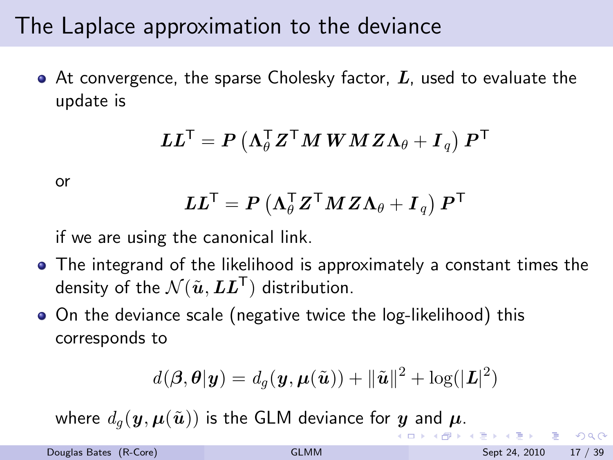#### The Laplace approximation to the deviance

 $\bullet$  At convergence, the sparse Cholesky factor,  $L$ , used to evaluate the update is

$$
\boldsymbol{L}\boldsymbol{L}^{\mathsf{T}}=\boldsymbol{P}\left(\boldsymbol{\Lambda}_{\theta}^{\mathsf{T}}\boldsymbol{Z}^{\mathsf{T}}\boldsymbol{M}\,\boldsymbol{W}\,\boldsymbol{M}\,\boldsymbol{Z}\boldsymbol{\Lambda}_{\theta}+\boldsymbol{I}_{\,q}\right)\boldsymbol{P}^{\mathsf{T}}
$$

or

$$
\boldsymbol{L}\boldsymbol{L}^{\mathsf{T}}=\boldsymbol{P}\left(\boldsymbol{\Lambda}_{\theta}^{\mathsf{T}}\boldsymbol{Z}^{\mathsf{T}}\boldsymbol{M}\boldsymbol{Z}\boldsymbol{\Lambda}_{\theta}+\boldsymbol{I}_{q}\right)\boldsymbol{P}^{\mathsf{T}}
$$

if we are using the canonical link.

- The integrand of the likelihood is approximately a constant times the density of the  $\mathcal{N}(\tilde{\bm{u}},\bm{L}\bm{L}^{\mathsf{T}})$  distribution.
- On the deviance scale (negative twice the log-likelihood) this corresponds to

$$
d(\boldsymbol{\beta},\boldsymbol{\theta}|\boldsymbol{y})=d_g(\boldsymbol{y},\boldsymbol{\mu}(\tilde{\boldsymbol{u}}))+\|\tilde{\boldsymbol{u}}\|^2+\log(|\boldsymbol{L}|^2)
$$

where  $d_q(\mathbf{y}, \boldsymbol{\mu}(\tilde{\boldsymbol{u}}))$  $d_q(\mathbf{y}, \boldsymbol{\mu}(\tilde{\boldsymbol{u}}))$  $d_q(\mathbf{y}, \boldsymbol{\mu}(\tilde{\boldsymbol{u}}))$  $d_q(\mathbf{y}, \boldsymbol{\mu}(\tilde{\boldsymbol{u}}))$  $d_q(\mathbf{y}, \boldsymbol{\mu}(\tilde{\boldsymbol{u}}))$  is the GLM devi[an](#page-22-0)ce for y and  $\boldsymbol{\mu}$ [.](#page-9-0)

<span id="page-21-0"></span> $QQQ$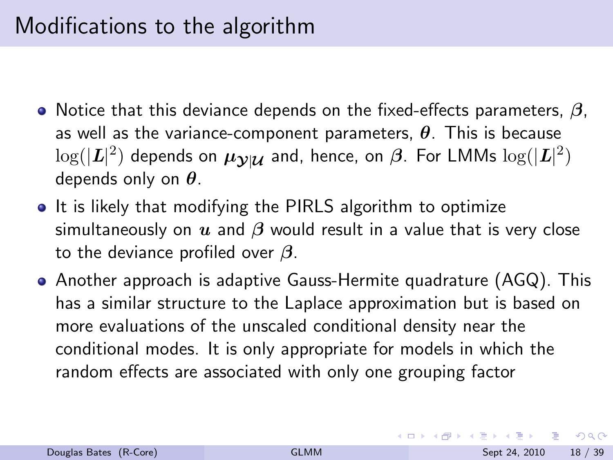- $\bullet$  Notice that this deviance depends on the fixed-effects parameters,  $\beta$ , as well as the variance-component parameters,  $\theta$ . This is because  $\log(|\bm{L}|^2)$  depends on  $\bm{\mu}_{\bm{\mathcal{Y}}|\bm{\mathcal{U}}}$  and, hence, on  $\bm{\beta}.$  For LMMs  $\log(|\bm{L}|^2)$ depends only on  $\theta$ .
- It is likely that modifying the PIRLS algorithm to optimize simultaneously on  $u$  and  $\beta$  would result in a value that is very close to the deviance profiled over  $\beta$ .
- Another approach is adaptive Gauss-Hermite quadrature (AGQ). This has a similar structure to the Laplace approximation but is based on more evaluations of the unscaled conditional density near the conditional modes. It is only appropriate for models in which the random effects are associated with only one grouping factor

<span id="page-22-0"></span> $QQQ$ 

 $\left\{ \begin{array}{ccc} 1 & 0 & 0 \\ 0 & 1 & 0 \end{array} \right.$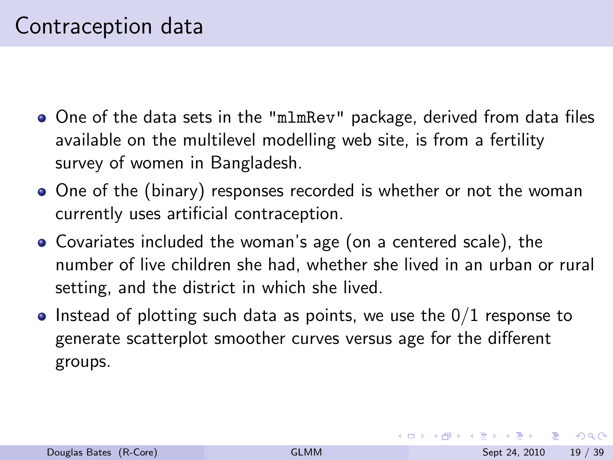- One of the data sets in the "mlmRev" package, derived from data files available on the multilevel modelling web site, is from a fertility survey of women in Bangladesh.
- One of the (binary) responses recorded is whether or not the woman currently uses artificial contraception.
- Covariates included the woman's age (on a centered scale), the number of live children she had, whether she lived in an urban or rural setting, and the district in which she lived.
- Instead of plotting such data as points, we use the  $0/1$  response to generate scatterplot smoother curves versus age for the different groups.

<span id="page-23-0"></span> $\equiv$   $\cap$   $\alpha$ 

イロト イ押ト イヨト イヨト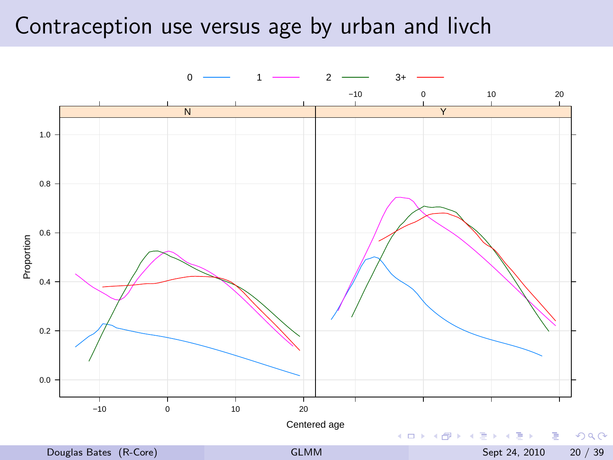### Contraception use versus age by urban and livch

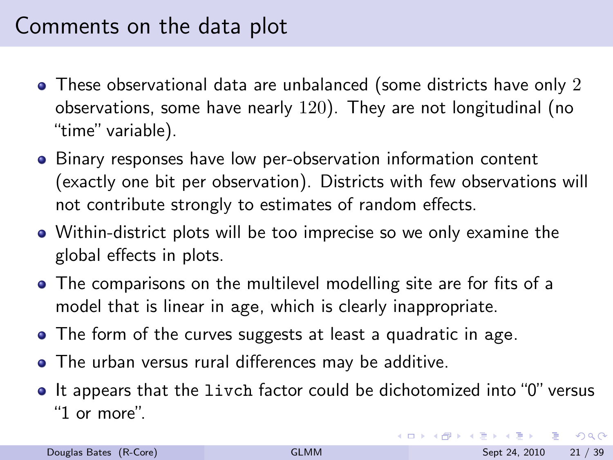# Comments on the data plot

- These observational data are unbalanced (some districts have only 2) observations, some have nearly 120). They are not longitudinal (no "time" variable).
- Binary responses have low per-observation information content (exactly one bit per observation). Districts with few observations will not contribute strongly to estimates of random effects.
- Within-district plots will be too imprecise so we only examine the global effects in plots.
- The comparisons on the multilevel modelling site are for fits of a model that is linear in age, which is clearly inappropriate.
- The form of the curves suggests at least a quadratic in age.
- The urban versus rural differences may be additive.
- $\bullet$  It appears that the livch factor could be dichotomized into "0" versus "1 or more".

G.

 $QQQ$ 

イロト イ押ト イヨト イヨト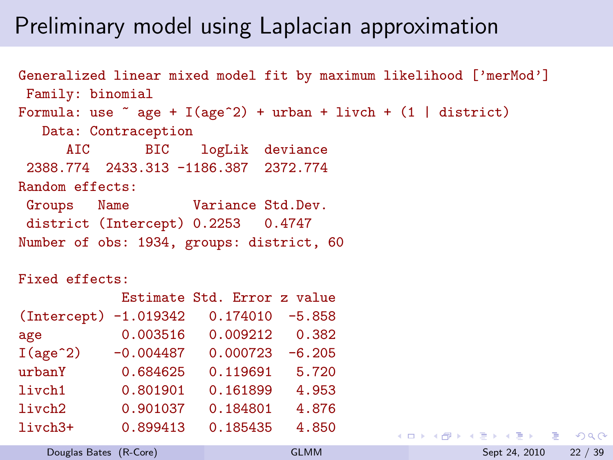# Preliminary model using Laplacian approximation

```
Generalized linear mixed model fit by maximum likelihood ['merMod']
Family: binomial
Formula: use \tilde{ } age + I(age\hat{ }2) + urban + livch + (1 | district)
  Data: Contraception
     AIC BIC logLik deviance
2388.774 2433.313 -1186.387 2372.774
Random effects:
Groups Name Variance Std.Dev.
district (Intercept) 0.2253 0.4747
Number of obs: 1934, groups: district, 60
```
#### Fixed effects:

|                         |             | Estimate Std. Error z value |          |
|-------------------------|-------------|-----------------------------|----------|
| $(Intercept) -1.019342$ |             | 0.174010                    | $-5.858$ |
| age                     | 0.003516    | 0.009212                    | 0.382    |
| I(age <sup>2</sup> )    | $-0.004487$ | 0.000723                    | $-6.205$ |
| urbanY                  | 0.684625    | 0.119691                    | 5.720    |
| livch1                  | 0.801901    | 0.161899                    | 4.953    |
| livch <sub>2</sub>      | 0.901037    | 0.184801                    | 4.876    |
| livch3+                 | 0.899413    | 0.185435                    | 4.850    |

**KED KARD KED KED A BA YOUR**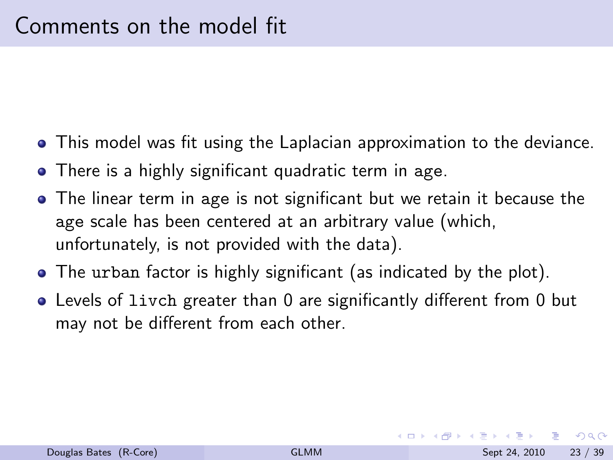- This model was fit using the Laplacian approximation to the deviance.
- There is a highly significant quadratic term in age.
- The linear term in age is not significant but we retain it because the age scale has been centered at an arbitrary value (which, unfortunately, is not provided with the data).
- The urban factor is highly significant (as indicated by the plot).
- Levels of livch greater than 0 are significantly different from 0 but may not be different from each other.

 $\Omega$ 

イロト イ押ト イヨト イヨト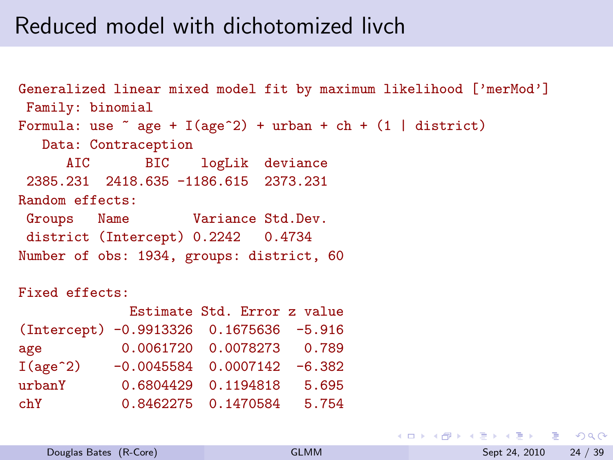### Reduced model with dichotomized livch

```
Generalized linear mixed model fit by maximum likelihood ['merMod']
Family: binomial
Formula: use \tilde{ } age + I(age\hat{ }2) + urban + ch + (1 | district)
  Data: Contraception
     AIC BIC logLik deviance
2385.231 2418.635 -1186.615 2373.231
Random effects:
Groups Name Variance Std.Dev.
district (Intercept) 0.2242 0.4734
Number of obs: 1934, groups: district, 60
```
#### Fixed effects:

|                                         | Estimate Std. Error z value     |       |
|-----------------------------------------|---------------------------------|-------|
| (Intercept) -0.9913326 0.1675636 -5.916 |                                 |       |
| age                                     | 0.0061720 0.0078273 0.789       |       |
| I(age <sup>2</sup> )                    | $-0.0045584$ 0.0007142 $-6.382$ |       |
| urbanY                                  | 0.6804429 0.1194818             | 5.695 |
| chY                                     | 0.8462275 0.1470584             | 5.754 |

<span id="page-28-0"></span>**KED KARD KED KED A BA YOUR**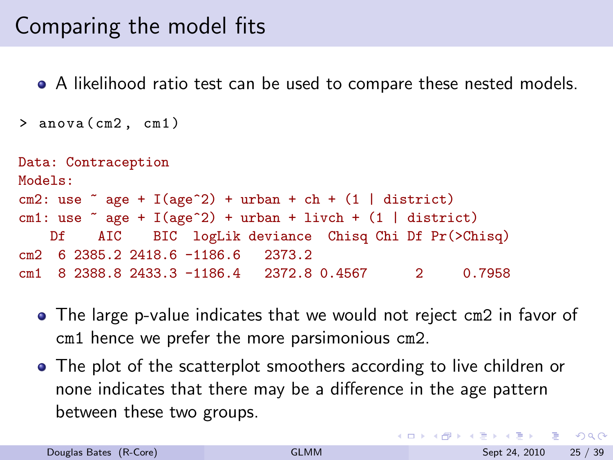# Comparing the model fits

A likelihood ratio test can be used to compare these nested models.

```
> anova ( cm2 , cm1 )
```

```
Data: Contraception
Models:
cm2: use \tilde{ } age + I(age\tilde{ }2) + urban + ch + (1 | district)
cm1: use \degree age + I(age\degree2) + urban + livch + (1 | district)
   Df AIC BIC logLik deviance Chisq Chi Df Pr(>Chisq)
cm2 6 2385.2 2418.6 -1186.6 2373.2
cm1 8 2388.8 2433.3 -1186.4 2372.8 0.4567 2 0.7958
```
- The large p-value indicates that we would not reject cm2 in favor of cm1 hence we prefer the more parsimonious cm2.
- The plot of the scatterplot smoothers according to live children or none indicates that there may be a difference in the age pattern between these two groups.

**KOD KOD KED KED DAR**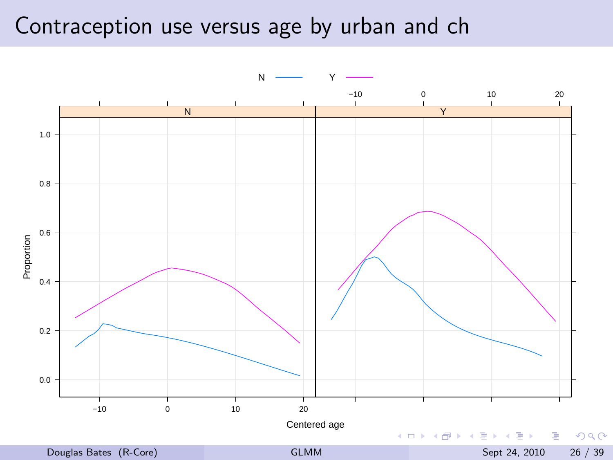### Contraception use versus age by urban and ch

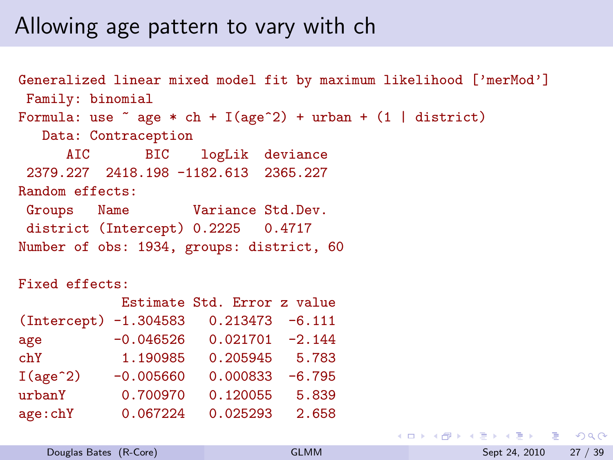#### Allowing age pattern to vary with ch

Generalized linear mixed model fit by maximum likelihood ['merMod'] Family: binomial Formula: use  $\tilde{ }$  age  $*$  ch + I(age $\tilde{ }$ 2) + urban + (1 | district) Data: Contraception AIC BIC logLik deviance 2379.227 2418.198 -1182.613 2365.227 Random effects: Groups Name Variance Std.Dev. district (Intercept) 0.2225 0.4717 Number of obs: 1934, groups: district, 60

Fixed effects:

|                       |             | Estimate Std. Error z value |          |
|-----------------------|-------------|-----------------------------|----------|
| (Intercept) -1.304583 |             | $0.213473 - 6.111$          |          |
| age                   | $-0.046526$ | $0.021701 - 2.144$          |          |
| chY                   | 1.190985    | 0.205945                    | 5.783    |
| I(age <sup>2</sup> )  | $-0.005660$ | 0.000833                    | $-6.795$ |
| urbanY                | 0.700970    | 0.120055                    | 5.839    |
| age:chY               | 0.067224    | 0.025293                    | 2.658    |

**KED KARD KED KED A BA YOUR**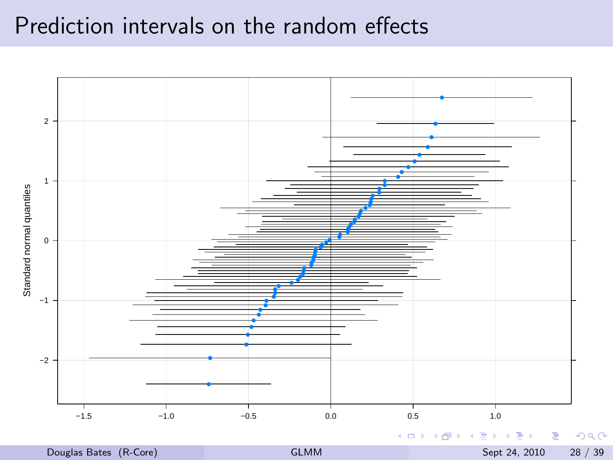#### Prediction intervals on the random effects

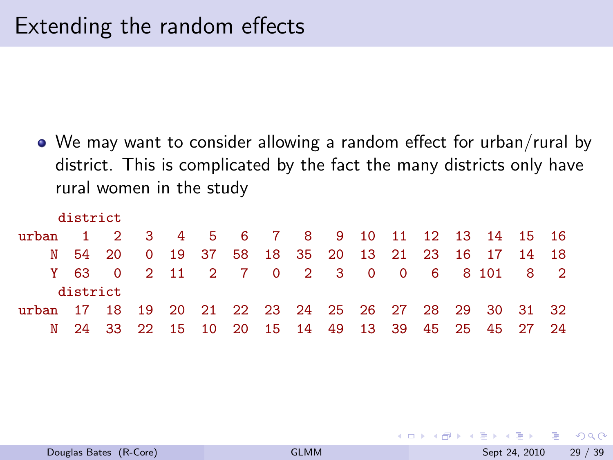We may want to consider allowing a random effect for urban/rural by district. This is complicated by the fact the many districts only have rural women in the study

|                                                       | district |  |  |  |  |  |  |                                                   |  |
|-------------------------------------------------------|----------|--|--|--|--|--|--|---------------------------------------------------|--|
| $n$ rban                                              |          |  |  |  |  |  |  | 1 2 3 4 5 6 7 8 9 10 11 12 13 14 15 16            |  |
|                                                       |          |  |  |  |  |  |  | N 54 20 0 19 37 58 18 35 20 13 21 23 16 17 14 18  |  |
|                                                       |          |  |  |  |  |  |  | Y 63 0 2 11 2 7 0 2 3 0 0 6 8 101 8 2             |  |
|                                                       | district |  |  |  |  |  |  |                                                   |  |
| urban 17 18 19 20 21 22 23 24 25 26 27 28 29 30 31 32 |          |  |  |  |  |  |  |                                                   |  |
|                                                       |          |  |  |  |  |  |  | N 24 33 22 15 10 20 15 14 49 13 39 45 25 45 27 24 |  |

◂**◻▸ ◂◚▸** 

 $QQ$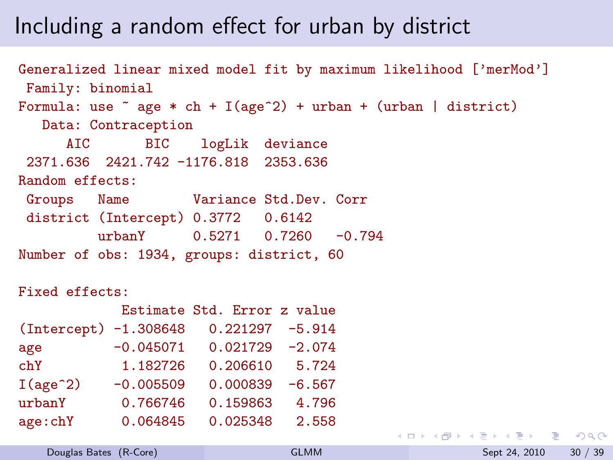### Including a random effect for urban by district

```
Generalized linear mixed model fit by maximum likelihood ['merMod']
Family: binomial
Formula: use \tilde{ } age * ch + I(age\hat{ }2) + urban + (urban | district)
  Data: Contraception
     AIC BIC logLik deviance
2371.636 2421.742 -1176.818 2353.636
Random effects:
Groups Name Variance Std.Dev. Corr
district (Intercept) 0.3772 0.6142
         urbanY 0.5271 0.7260 -0.794
Number of obs: 1934, groups: district, 60
```

```
Fixed effects:
```

|                       |             | Estimate Std. Error z value |          |
|-----------------------|-------------|-----------------------------|----------|
| (Intercept) -1.308648 |             | $0.221297 - 5.914$          |          |
| age                   | $-0.045071$ | $0.021729 - 2.074$          |          |
| chY                   | 1.182726    | 0.206610                    | 5.724    |
| I(age <sup>2</sup> )  | $-0.005509$ | 0.000839                    | $-6.567$ |
| urbanY                | 0.766746    | 0.159863                    | 4.796    |
| age:chY               | 0.064845    | 0.025348                    | 2.558    |

 $\Box$  Douglas Dates:  $(N$ -Core $)$ 

**KED KARD KED KED A BA YOUR**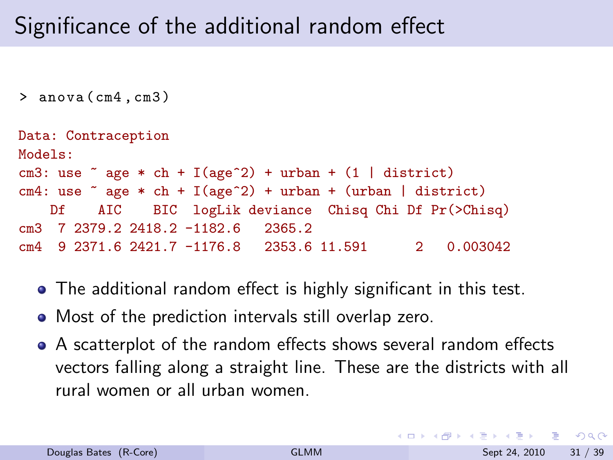# Significance of the additional random effect

```
> anova ( cm4 , cm3 )
```

```
Data: Contraception
Models:
cm3: use \tilde{ } age * ch + I(age\hat{ }2) + urban + (1 | district)
cm4: use \tilde{ } age * ch + I(age\hat{ }2) + urban + (urban | district)
   Df AIC BIC logLik deviance Chisq Chi Df Pr(>Chisq)
cm3 7 2379.2 2418.2 -1182.6 2365.2
cm4 9 2371.6 2421.7 -1176.8 2353.6 11.591 2 0.003042
```
- The additional random effect is highly significant in this test.
- Most of the prediction intervals still overlap zero.
- A scatterplot of the random effects shows several random effects vectors falling along a straight line. These are the districts with all rural women or all urban women.

**KOD KOD KED KED DAR**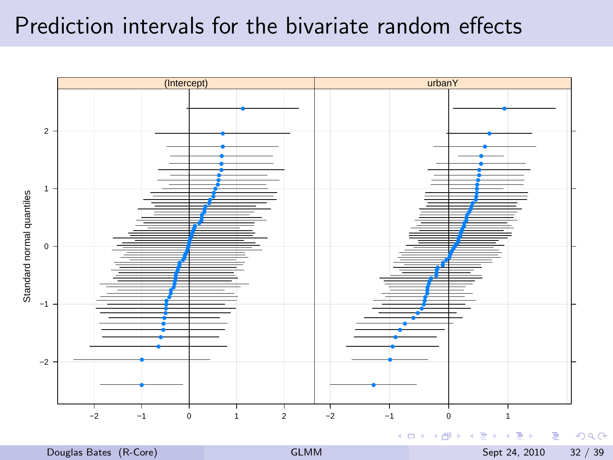#### Prediction intervals for the bivariate random effects



Douglas Bates (R-Core) **[GLMM](#page-0-0)** Sept 24, 2010 32 / 39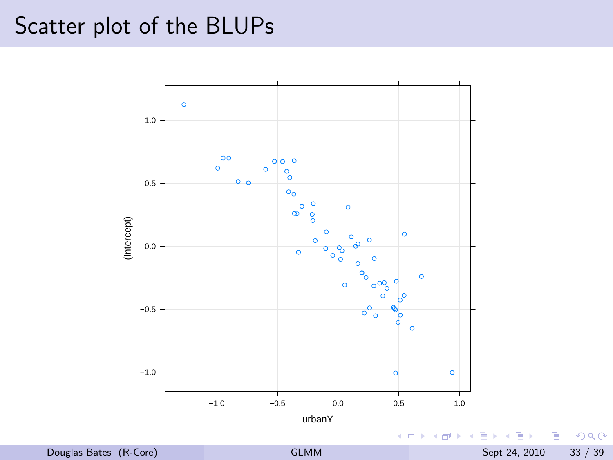# Scatter plot of the BLUPs



 $299$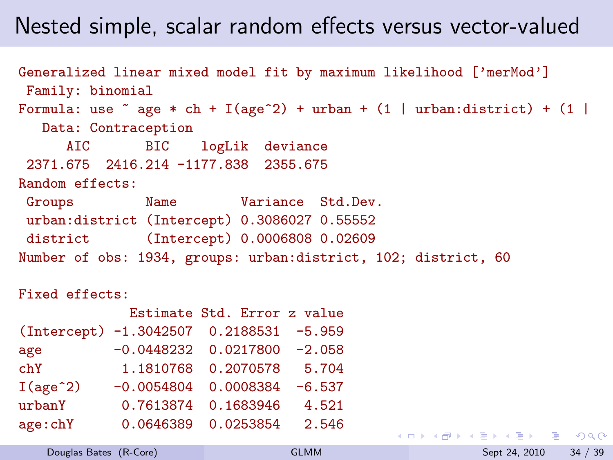### Nested simple, scalar random effects versus vector-valued

```
Generalized linear mixed model fit by maximum likelihood ['merMod']
 Family: binomial
Formula: use \tilde{a} age * ch + I(age\hat{a}) + urban + (1 | urban:district) + (1 |
  Data: Contraception
     AIC BIC logLik deviance
 2371.675 2416.214 -1177.838 2355.675
Random effects:
Groups Name Variance Std.Dev.
urban:district (Intercept) 0.3086027 0.55552
district (Intercept) 0.0006808 0.02609
Number of obs: 1934, groups: urban:district, 102; district, 60
```

```
Fixed effects:
```

|                                         |              | Estimate Std. Error z value |          |
|-----------------------------------------|--------------|-----------------------------|----------|
| (Intercept) -1.3042507 0.2188531 -5.959 |              |                             |          |
| age                                     | $-0.0448232$ | 0.0217800                   | $-2.058$ |
| chY                                     | 1.1810768    | 0.2070578                   | 5.704    |
| I(age <sup>2</sup> )                    | $-0.0054804$ | 0.0008384                   | $-6.537$ |
| urbanY                                  | 0.7613874    | 0.1683946                   | 4.521    |
| age:chY                                 | 0.0646389    | 0.0253854                   | 2.546    |

**KED KARD KED KED A BA YOUR**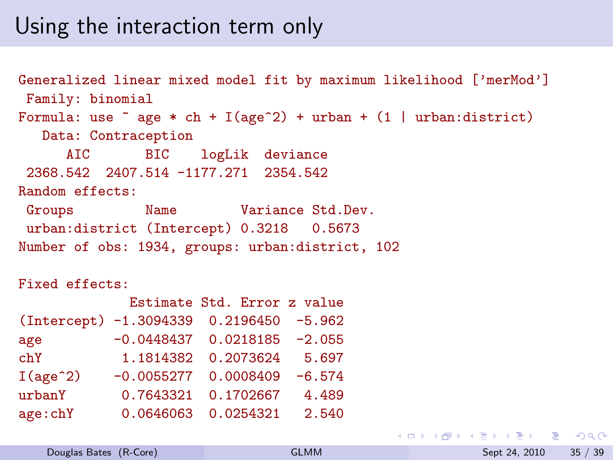#### Using the interaction term only

Generalized linear mixed model fit by maximum likelihood ['merMod'] Family: binomial Formula: use  $\tilde{ }$  age  $*$  ch + I(age^2) + urban + (1 | urban:district) Data: Contraception AIC BIC logLik deviance 2368.542 2407.514 -1177.271 2354.542 Random effects: Groups Name Variance Std.Dev. urban:district (Intercept) 0.3218 0.5673 Number of obs: 1934, groups: urban:district, 102

Fixed effects:

|                                         |           | Estimate Std. Error z value     |          |
|-----------------------------------------|-----------|---------------------------------|----------|
| (Intercept) -1.3094339 0.2196450 -5.962 |           |                                 |          |
| age                                     |           | $-0.0448437$ 0.0218185 $-2.055$ |          |
| chY                                     | 1.1814382 | 0.2073624                       | 5.697    |
| I(age <sup>2</sup> )                    |           | $-0.0055277$ 0.0008409          | $-6.574$ |
| urbanY                                  | 0.7643321 | 0.1702667                       | 4.489    |
| age:chY                                 |           | 0.0646063 0.0254321             | 2.540    |

**KED KARD KED KED A BA YOUR**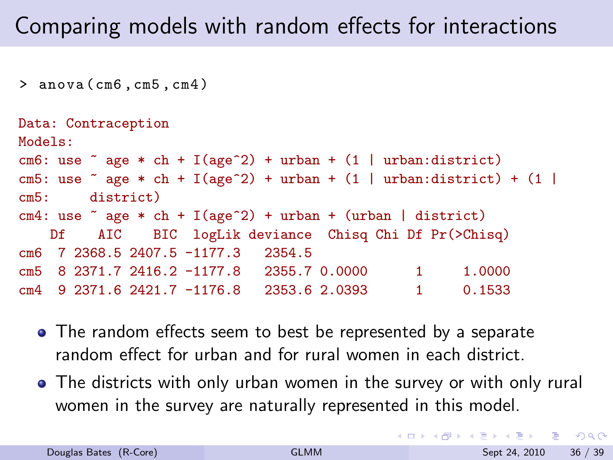# Comparing models with random effects for interactions

> anova ( cm6 , cm5 , cm4 )

```
Data: Contraception
Models:
cm6: use \tilde{ } age * ch + I(age\hat{ }2) + urban + (1 | urban:district)
cm5: use \tilde{ } age * ch + I(age\tilde{ }2) + urban + (1 | urban:district) + (1 |
cm5: district)
cm4: use \tilde{ } age * ch + I(age\tilde{ }2) + urban + (urban | district)
    Df AIC BIC logLik deviance Chisq Chi Df Pr(>Chisq)
cm6 7 2368.5 2407.5 -1177.3 2354.5
cm5 8 2371.7 2416.2 -1177.8 2355.7 0.0000 1 1.0000
cm4 9 2371.6 2421.7 -1176.8 2353.6 2.0393 1 0.1533
```
- The random effects seem to best be represented by a separate random effect for urban and for rural women in each district.
- The districts with only urban women in the survey or with only rural women in the survey are naturally represented in this model.

**KORKA ERKER ADA YOUR**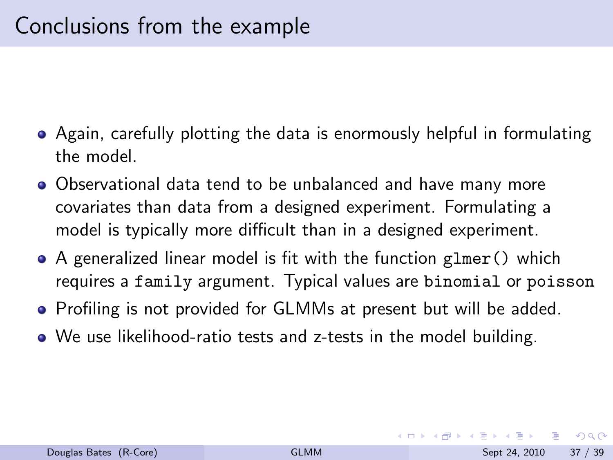- Again, carefully plotting the data is enormously helpful in formulating the model.
- Observational data tend to be unbalanced and have many more covariates than data from a designed experiment. Formulating a model is typically more difficult than in a designed experiment.
- A generalized linear model is fit with the function glmer() which requires a family argument. Typical values are binomial or poisson
- Profiling is not provided for GLMMs at present but will be added.
- We use likelihood-ratio tests and z-tests in the model building.

G.

<span id="page-41-0"></span> $QQQ$ 

イロト イ押ト イヨト イヨト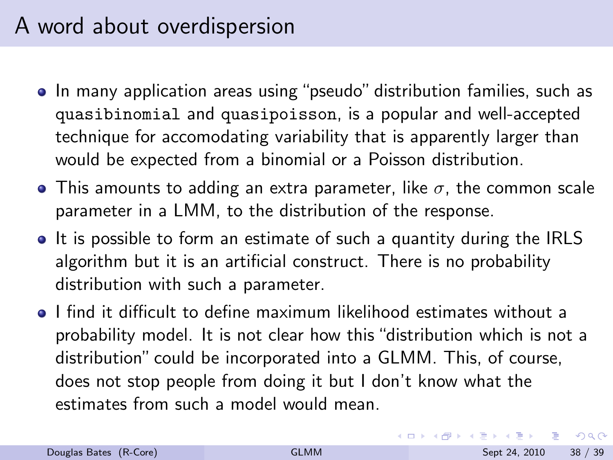# A word about overdispersion

- In many application areas using "pseudo" distribution families, such as quasibinomial and quasipoisson, is a popular and well-accepted technique for accomodating variability that is apparently larger than would be expected from a binomial or a Poisson distribution.
- **•** This amounts to adding an extra parameter, like  $\sigma$ , the common scale parameter in a LMM, to the distribution of the response.
- It is possible to form an estimate of such a quantity during the IRLS algorithm but it is an artificial construct. There is no probability distribution with such a parameter.
- I find it difficult to define maximum likelihood estimates without a probability model. It is not clear how this "distribution which is not a distribution" could be incorporated into a GLMM. This, of course, does not stop people from doing it but I don't know what the estimates from such a model would mean.

 $\Omega$ 

(ロト (母) (ヨ) (ヨ)